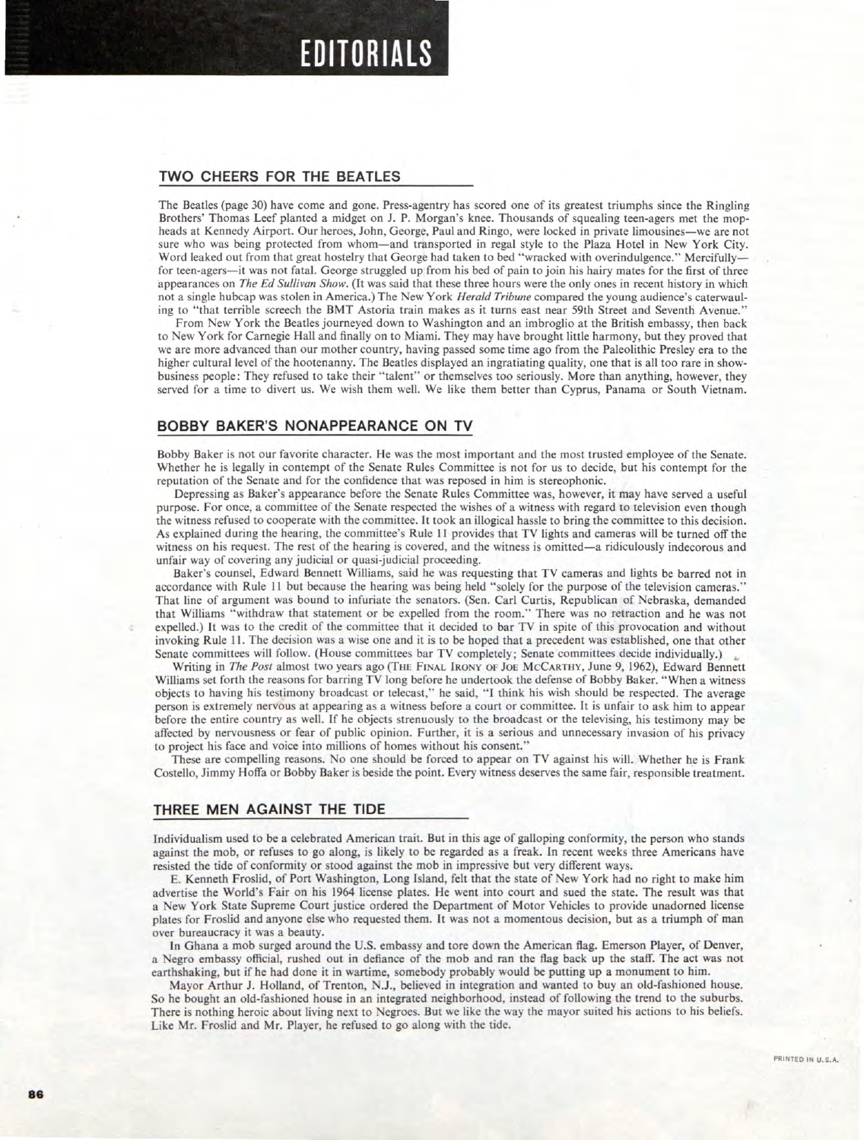## **EDITORIALS**

#### **TWO CHEERS FOR THE BEATLES**

**The Beatles (page 30) have come and gone. Press-agentry has scored one of its greatest triumphs since the Ringling Brothers' Thomas Leef planted a midget on J. P. Morgan's knee. Thousands of squealing teen-agers met the mopheads at Kennedy Airport. Our heroes, John, George, Paul and Ringo, were locked in private limousines—we are not sure who was being protected from whom—and transported in regal style to the Plaza Hotel in New York City. Word leaked out from that great hostelry that George had taken to bed "wracked with overindulgence." Mercifully for teen-agers—it was not fatal. George struggled up from his bed of pain to join his hairy mates for the first of three appearances on** *The Ed Sullivan Show.* **(It was said that these three hours were the only ones in recent history in which not a single hubcap was stolen in America.) The New York** *Herald Tribune* **compared the young audience's caterwauling to "that terrible screech the BMT Astoria train makes as it turns east near 59th Street and Seventh Avenue."** 

**From New York the Beatles journeyed down to Washington and an imbroglio at the British embassy, then back to New York for Carnegie Hall and finally on to Miami. They may have brought little harmony, but they proved that we are more advanced than our mother country, having passed some time ago from the Paleolithic Presley era to the higher cultural level of the hootenanny. The Beatles displayed an ingratiating quality, one that is all too rare in showbusiness people: They refused to take their "talent" or themselves too seriously. More than anything, however, they served for a time to divert us. We wish them well. We like them better than Cyprus, Panama or South Vietnam.** 

### **BOBBY BAKER'S NONAPPEARANCE ON TV**

**Bobby Baker is not our favorite character. He was the most important and the most trusted employee of the Senate. Whether he is legally in contempt of the Senate Rules Committee is not for us to decide, but his contempt for the reputation of the Senate and for the confidence that was reposed in him is stereophonic.** 

**Depressing as Baker's appearance before the Senate Rules Committee was, however, it may have served a useful purpose. For once, a committee of the Senate respected the wishes of a witness with regard to television even though the witness refused to cooperate with the committee. It took an illogical hassle to bring the committee to this decision. As explained during the hearing, the committee's Rule 11 provides that TV lights and cameras will be turned off the witness on his request. The rest of the hearing is covered, and the witness is omitted—a ridiculously indecorous and unfair way of covering any judicial or quasi-judicial proceeding.** 

**Baker's counsel, Edward Bennett Williams, said he was requesting that TV cameras and lights be barred not in accordance with Rule 11 but because the hearing was being held "solely for the purpose of the television cameras." That line of argument was bound to infuriate the senators. (Sen. Carl Curtis, Republican of Nebraska, demanded that Williams "withdraw that statement or be expelled from the room." There was no retraction and he was not expelled.) It was to the credit of the committee that it decided to bar TV in spite of this provocation and without invoking Rule 11. The decision was a wise one and it is to be hoped that a precedent was established, one that other Senate committees will follow. (House committees bar TV completely; Senate committees decide individually.)** 

**Writing in** *The Post* **almost two years ago (THE FINAL IRONY OF JOE MCCARTHY, June 9, 1962), Edward Bennett Williams set forth the reasons for barring TV long before he undertook the defense of Bobby Baker. "When a witness objects to having his testimony broadcast or telecast," he said, "I think his wish should** *be* **respected. The average person is extremely nervous at appearing as a witness before a court or committee. It is unfair to ask him to appear before the entire country as well. If he objects strenuously to the broadcast or the televising, his testimony may be affected by nervousness or fear of public opinion. Further, it is a serious and unnecessary invasion of his privacy to project his face and voice into millions of homes without his consent."** 

**These are compelling reasons. No one should be forced to appear on TV against his will. Whether he is Frank Costello, Jimmy Hoffa or Bobby Baker is beside the point. Every witness deserves the same fair, responsible treatment.** 

#### **THREE MEN AGAINST THE TIDE**

**Individualism used to be a celebrated American trait. But in this age of galloping conformity, the person who stands against the mob, or refuses to go along, is likely to be regarded as a freak. In recent weeks three Americans have resisted the tide of conformity or stood against the mob in impressive but very different ways.** 

**E. Kenneth Froslid, of Port Washington, Long Island, felt that the state of New York had no right to make him advertise the World's Fair on his 1964 license plates. He went into court and sued the state. The result was that a New York State Supreme Court justice ordered the Department of Motor Vehicles to provide unadorned license plates for Froslid and anyone else who requested them. It was not a momentous decision, but as a triumph of man over bureaucracy it was a beauty.** 

**In Ghana a mob surged around the U.S. embassy and tore down the American flag. Emerson Player, of Denver, a Negro embassy official, rushed out in defiance of the mob and ran the flag back up the staff. The act was not earthshaking, but if he had done it in wartime, somebody probably would be putting up a monument to him.** 

**Mayor Arthur J. Holland, of Trenton, N.J., believed in integration and wanted to buy an old-fashioned house. So he bought an old-fashioned house in an integrated neighborhood, instead of following the trend to the suburbs. There is nothing heroic about living next to Negroes. But we like the way the mayor suited his actions to his beliefs. Like Mr. Froslid and Mr. Player, he refused to go along with the tide.**